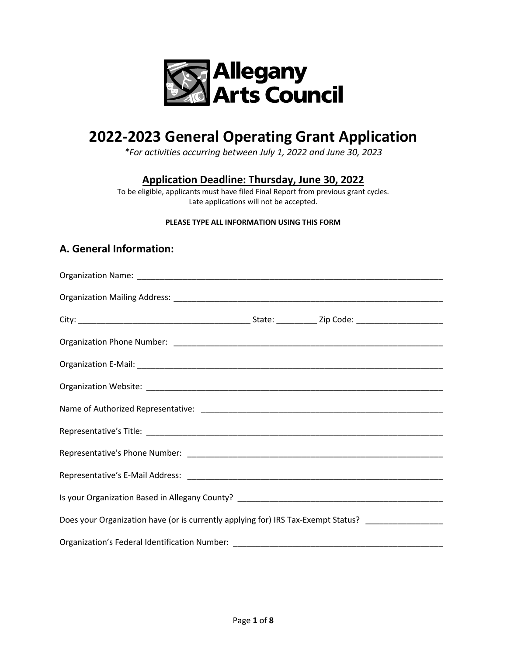

# **2022-2023 General Operating Grant Application**

*\*For activities occurring between July 1, 2022 and June 30, 2023*

**Application Deadline: Thursday, June 30, 2022**

To be eligible, applicants must have filed Final Report from previous grant cycles. Late applications will not be accepted.

#### **PLEASE TYPE ALL INFORMATION USING THIS FORM**

#### **A. General Information:**

| Does your Organization have (or is currently applying for) IRS Tax-Exempt Status? _________________ |  |  |
|-----------------------------------------------------------------------------------------------------|--|--|
|                                                                                                     |  |  |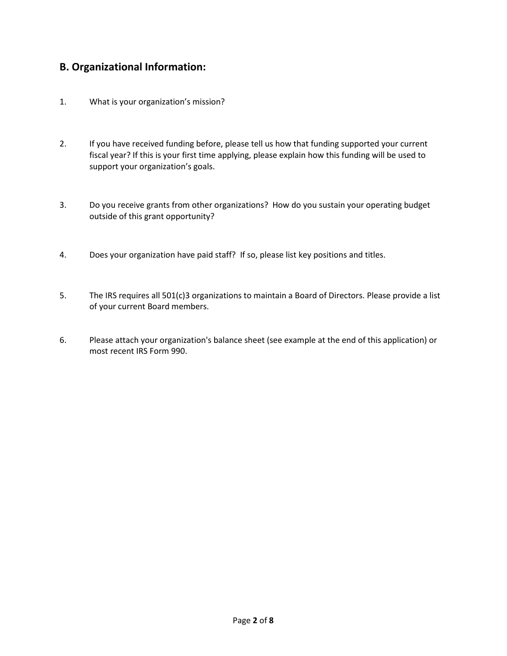#### **B. Organizational Information:**

- 1. What is your organization's mission?
- 2. If you have received funding before, please tell us how that funding supported your current fiscal year? If this is your first time applying, please explain how this funding will be used to support your organization's goals.
- 3. Do you receive grants from other organizations? How do you sustain your operating budget outside of this grant opportunity?
- 4. Does your organization have paid staff? If so, please list key positions and titles.
- 5. The IRS requires all 501(c)3 organizations to maintain a Board of Directors. Please provide a list of your current Board members.
- 6. Please attach your organization's balance sheet (see example at the end of this application) or most recent IRS Form 990.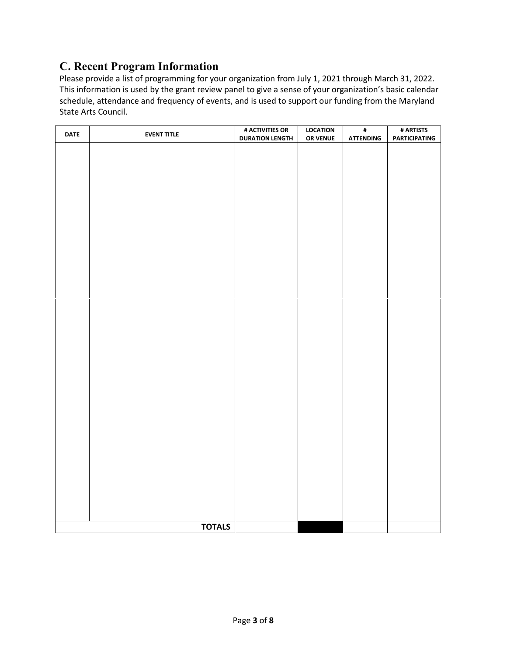### **C. Recent Program Information**

Please provide a list of programming for your organization from July 1, 2021 through March 31, 2022. This information is used by the grant review panel to give a sense of your organization's basic calendar schedule, attendance and frequency of events, and is used to support our funding from the Maryland State Arts Council.

| <b>DATE</b> | <b>EVENT TITLE</b> | # ACTIVITIES OR        | <b>LOCATION</b> | $\pmb{\sharp}$   | # ARTISTS            |
|-------------|--------------------|------------------------|-----------------|------------------|----------------------|
|             |                    | <b>DURATION LENGTH</b> | OR VENUE        | <b>ATTENDING</b> | <b>PARTICIPATING</b> |
|             |                    |                        |                 |                  |                      |
|             |                    |                        |                 |                  |                      |
|             |                    |                        |                 |                  |                      |
|             |                    |                        |                 |                  |                      |
|             |                    |                        |                 |                  |                      |
|             |                    |                        |                 |                  |                      |
|             |                    |                        |                 |                  |                      |
|             |                    |                        |                 |                  |                      |
|             |                    |                        |                 |                  |                      |
|             |                    |                        |                 |                  |                      |
|             |                    |                        |                 |                  |                      |
|             |                    |                        |                 |                  |                      |
|             |                    |                        |                 |                  |                      |
|             |                    |                        |                 |                  |                      |
|             |                    |                        |                 |                  |                      |
|             |                    |                        |                 |                  |                      |
|             |                    |                        |                 |                  |                      |
|             |                    |                        |                 |                  |                      |
|             |                    |                        |                 |                  |                      |
|             |                    |                        |                 |                  |                      |
|             |                    |                        |                 |                  |                      |
|             |                    |                        |                 |                  |                      |
|             |                    |                        |                 |                  |                      |
|             |                    |                        |                 |                  |                      |
|             |                    |                        |                 |                  |                      |
|             |                    |                        |                 |                  |                      |
|             |                    |                        |                 |                  |                      |
|             |                    |                        |                 |                  |                      |
|             |                    |                        |                 |                  |                      |
|             |                    |                        |                 |                  |                      |
|             |                    |                        |                 |                  |                      |
|             |                    |                        |                 |                  |                      |
|             |                    |                        |                 |                  |                      |
|             |                    |                        |                 |                  |                      |
|             |                    |                        |                 |                  |                      |
|             |                    |                        |                 |                  |                      |
|             |                    |                        |                 |                  |                      |
|             |                    |                        |                 |                  |                      |
|             |                    |                        |                 |                  |                      |
|             |                    |                        |                 |                  |                      |
|             |                    |                        |                 |                  |                      |
|             |                    |                        |                 |                  |                      |
|             | <b>TOTALS</b>      |                        |                 |                  |                      |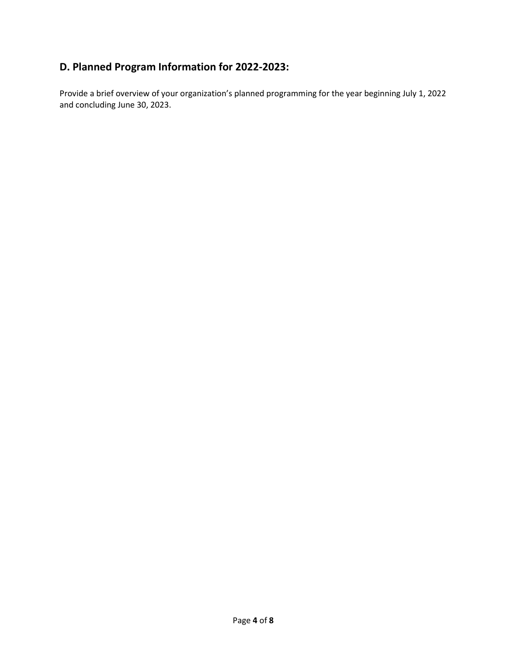### **D. Planned Program Information for 2022-2023:**

Provide a brief overview of your organization's planned programming for the year beginning July 1, 2022 and concluding June 30, 2023.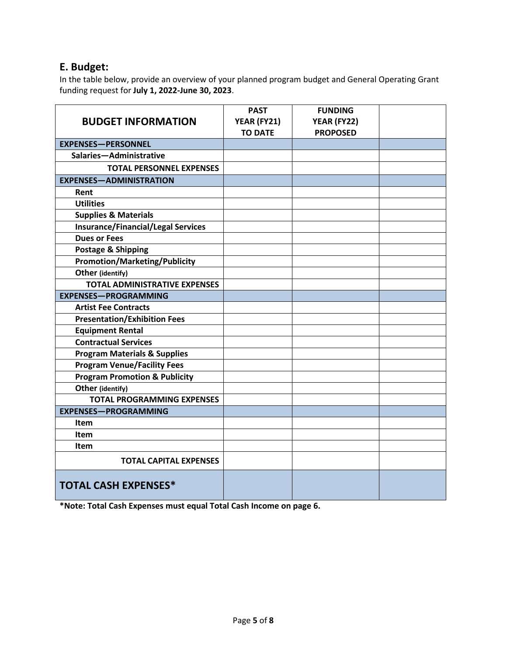#### **E. Budget:**

In the table below, provide an overview of your planned program budget and General Operating Grant funding request for **July 1, 2022-June 30, 2023**.

| <b>BUDGET INFORMATION</b>                 | <b>PAST</b><br>YEAR (FY21)<br><b>TO DATE</b> | <b>FUNDING</b><br>YEAR (FY22)<br><b>PROPOSED</b> |  |
|-------------------------------------------|----------------------------------------------|--------------------------------------------------|--|
| <b>EXPENSES-PERSONNEL</b>                 |                                              |                                                  |  |
| Salaries-Administrative                   |                                              |                                                  |  |
| <b>TOTAL PERSONNEL EXPENSES</b>           |                                              |                                                  |  |
| <b>EXPENSES-ADMINISTRATION</b>            |                                              |                                                  |  |
| Rent                                      |                                              |                                                  |  |
| <b>Utilities</b>                          |                                              |                                                  |  |
| <b>Supplies &amp; Materials</b>           |                                              |                                                  |  |
| <b>Insurance/Financial/Legal Services</b> |                                              |                                                  |  |
| <b>Dues or Fees</b>                       |                                              |                                                  |  |
| Postage & Shipping                        |                                              |                                                  |  |
| <b>Promotion/Marketing/Publicity</b>      |                                              |                                                  |  |
| Other (identify)                          |                                              |                                                  |  |
| <b>TOTAL ADMINISTRATIVE EXPENSES</b>      |                                              |                                                  |  |
| <b>EXPENSES-PROGRAMMING</b>               |                                              |                                                  |  |
| <b>Artist Fee Contracts</b>               |                                              |                                                  |  |
| <b>Presentation/Exhibition Fees</b>       |                                              |                                                  |  |
| <b>Equipment Rental</b>                   |                                              |                                                  |  |
| <b>Contractual Services</b>               |                                              |                                                  |  |
| <b>Program Materials &amp; Supplies</b>   |                                              |                                                  |  |
| <b>Program Venue/Facility Fees</b>        |                                              |                                                  |  |
| <b>Program Promotion &amp; Publicity</b>  |                                              |                                                  |  |
| Other (identify)                          |                                              |                                                  |  |
| <b>TOTAL PROGRAMMING EXPENSES</b>         |                                              |                                                  |  |
| <b>EXPENSES-PROGRAMMING</b>               |                                              |                                                  |  |
| Item                                      |                                              |                                                  |  |
| Item                                      |                                              |                                                  |  |
| Item                                      |                                              |                                                  |  |
| <b>TOTAL CAPITAL EXPENSES</b>             |                                              |                                                  |  |
| <b>TOTAL CASH EXPENSES*</b>               |                                              |                                                  |  |

**\*Note: Total Cash Expenses must equal Total Cash Income on page 6.**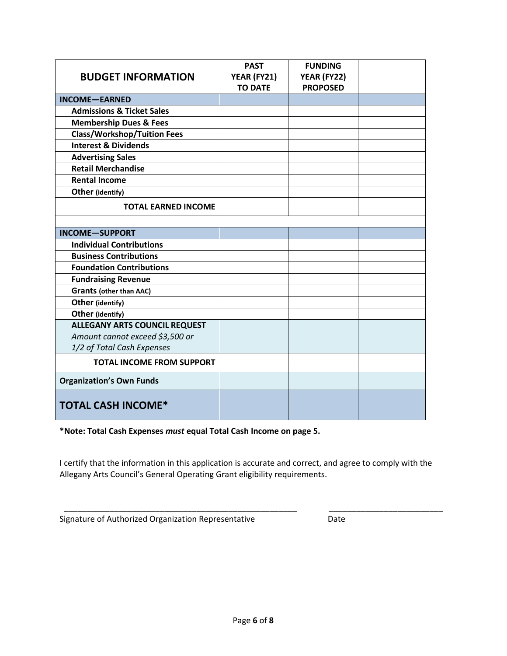|                                      | <b>PAST</b>    | <b>FUNDING</b>  |  |
|--------------------------------------|----------------|-----------------|--|
| <b>BUDGET INFORMATION</b>            | YEAR (FY21)    | YEAR (FY22)     |  |
|                                      | <b>TO DATE</b> | <b>PROPOSED</b> |  |
| <b>INCOME-EARNED</b>                 |                |                 |  |
| <b>Admissions &amp; Ticket Sales</b> |                |                 |  |
| <b>Membership Dues &amp; Fees</b>    |                |                 |  |
| <b>Class/Workshop/Tuition Fees</b>   |                |                 |  |
| <b>Interest &amp; Dividends</b>      |                |                 |  |
| <b>Advertising Sales</b>             |                |                 |  |
| <b>Retail Merchandise</b>            |                |                 |  |
| <b>Rental Income</b>                 |                |                 |  |
| Other (identify)                     |                |                 |  |
| <b>TOTAL EARNED INCOME</b>           |                |                 |  |
|                                      |                |                 |  |
| <b>INCOME-SUPPORT</b>                |                |                 |  |
| <b>Individual Contributions</b>      |                |                 |  |
| <b>Business Contributions</b>        |                |                 |  |
| <b>Foundation Contributions</b>      |                |                 |  |
| <b>Fundraising Revenue</b>           |                |                 |  |
| <b>Grants (other than AAC)</b>       |                |                 |  |
| Other (identify)                     |                |                 |  |
| Other (identify)                     |                |                 |  |
| <b>ALLEGANY ARTS COUNCIL REQUEST</b> |                |                 |  |
| Amount cannot exceed \$3,500 or      |                |                 |  |
| 1/2 of Total Cash Expenses           |                |                 |  |
| <b>TOTAL INCOME FROM SUPPORT</b>     |                |                 |  |
| <b>Organization's Own Funds</b>      |                |                 |  |
| <b>TOTAL CASH INCOME*</b>            |                |                 |  |

**\*Note: Total Cash Expenses** *must* **equal Total Cash Income on page 5.** 

I certify that the information in this application is accurate and correct, and agree to comply with the Allegany Arts Council's General Operating Grant eligibility requirements.

\_\_\_\_\_\_\_\_\_\_\_\_\_\_\_\_\_\_\_\_\_\_\_\_\_\_\_\_\_\_\_\_\_\_\_\_\_\_\_\_\_\_\_\_\_\_\_\_\_\_\_ \_\_\_\_\_\_\_\_\_\_\_\_\_\_\_\_\_\_\_\_\_\_\_\_\_

|  | Signature of Authorized Organization Representative | Date |
|--|-----------------------------------------------------|------|
|--|-----------------------------------------------------|------|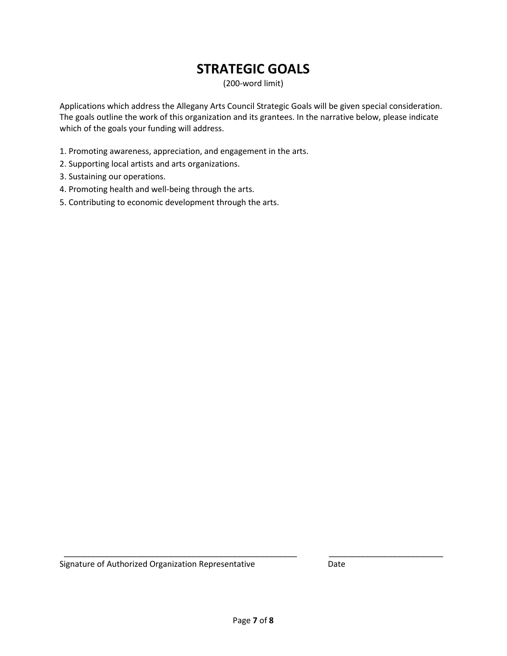## **STRATEGIC GOALS**

(200-word limit)

Applications which address the Allegany Arts Council Strategic Goals will be given special consideration. The goals outline the work of this organization and its grantees. In the narrative below, please indicate which of the goals your funding will address.

- 1. Promoting awareness, appreciation, and engagement in the arts.
- 2. Supporting local artists and arts organizations.
- 3. Sustaining our operations.
- 4. Promoting health and well-being through the arts.
- 5. Contributing to economic development through the arts.

\_\_\_\_\_\_\_\_\_\_\_\_\_\_\_\_\_\_\_\_\_\_\_\_\_\_\_\_\_\_\_\_\_\_\_\_\_\_\_\_\_\_\_\_\_\_\_\_\_\_\_ \_\_\_\_\_\_\_\_\_\_\_\_\_\_\_\_\_\_\_\_\_\_\_\_\_ Signature of Authorized Organization Representative **Date** Date